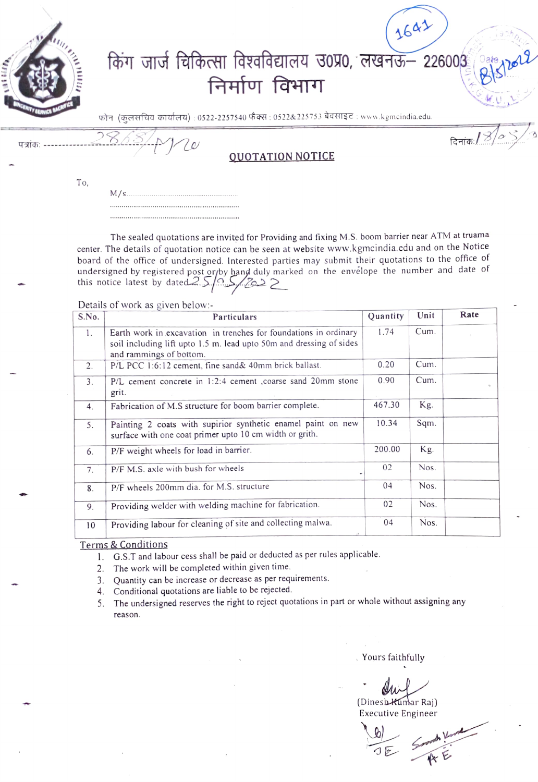

**OUOTATION NOTICE** 

To,

The sealed quotations are invited for Providing and fixing M.S. boom barrier near ATM at truama center. The details of quotation notice can be seen at website www.kgmcindia.edu and on the Notice board of the office of undersigned. Interested parties may submit their quotations to the office of undersigned by registered post or by hand duly marked on the envelope the number and date of<br>this notice latest by dated  $25/22$ 

Details of work as given below:-

10

| S.No. | Particulars                                                                                                                                                        | Quantity | Unit | Rate |
|-------|--------------------------------------------------------------------------------------------------------------------------------------------------------------------|----------|------|------|
| 1.    | Earth work in excavation in trenches for foundations in ordinary<br>soil including lift upto 1.5 m. lead upto 50m and dressing of sides<br>and rammings of bottom. | 1.74     | Cum. |      |
| 2.    | P/L PCC 1:6:12 cement, fine sand& 40mm brick ballast.                                                                                                              | 0.20     | Cum. |      |
| 3.    | P/L cement concrete in 1:2:4 cement , coarse sand 20mm stone<br>grit.                                                                                              | 0.90     | Cum. |      |
| 4.    | Fabrication of M.S structure for boom barrier complete.                                                                                                            | 467.30   | Kg.  |      |
| 5.    | Painting 2 coats with supirior synthetic enamel paint on new<br>surface with one coat primer upto 10 cm width or grith.                                            | 10.34    | Sqm. |      |
| 6.    | P/F weight wheels for load in barrier.                                                                                                                             | 200.00   | Kg.  |      |
| 7.    | P/F M.S. axle with bush for wheels                                                                                                                                 | 02       | Nos. |      |
| 8.    | P/F wheels 200mm dia. for M.S. structure                                                                                                                           | 04       | Nos. |      |
| 9.    | Providing welder with welding machine for fabrication.                                                                                                             | 02       | Nos. |      |
| 10    | Providing labour for cleaning of site and collecting malwa.                                                                                                        | 04       | Nos. |      |

**Terms & Conditions** 

1. G.S.T and labour cess shall be paid or deducted as per rules applicable.

2. The work will be completed within given time.

3. Quantity can be increase or decrease as per requirements.

4. Conditional quotations are liable to be rejected.

The undersigned reserves the right to reject quotations in part or whole without assigning any 5. reason.

Yours faithfully

(Dinesh Kumar Raj)

**Executive Engineer** 

दिनांकः/